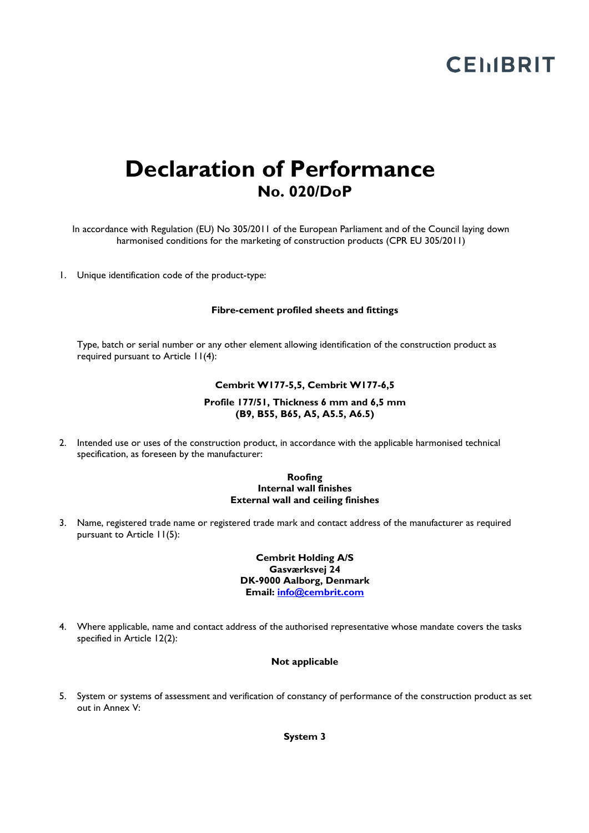## **CEMBRIT**

### **Declaration of Performance No. 020/DoP**

In accordance with Regulation (EU) No 305/2011 of the European Parliament and of the Council laying down harmonised conditions for the marketing of construction products (CPR EU 305/2011)

1. Unique identification code of the product-type:

#### **Fibre-cement profiled sheets and fittings**

Type, batch or serial number or any other element allowing identification of the construction product as required pursuant to Article 11(4):

#### **Cembrit W177-5,5, Cembrit W177-6,5**

#### **Profile 177/51, Thickness 6 mm and 6,5 mm (B9, B55, B65, A5, A5.5, A6.5)**

2. Intended use or uses of the construction product, in accordance with the applicable harmonised technical specification, as foreseen by the manufacturer:

#### **Roofing Internal wall finishes External wall and ceiling finishes**

3. Name, registered trade name or registered trade mark and contact address of the manufacturer as required pursuant to Article 11(5):

> **Cembrit Holding A/S Gasværksvej 24 DK-9000 Aalborg, Denmark Email: info@cembrit.com**

4. Where applicable, name and contact address of the authorised representative whose mandate covers the tasks specified in Article 12(2):

#### **Not applicable**

5. System or systems of assessment and verification of constancy of performance of the construction product as set out in Annex V:

**System 3**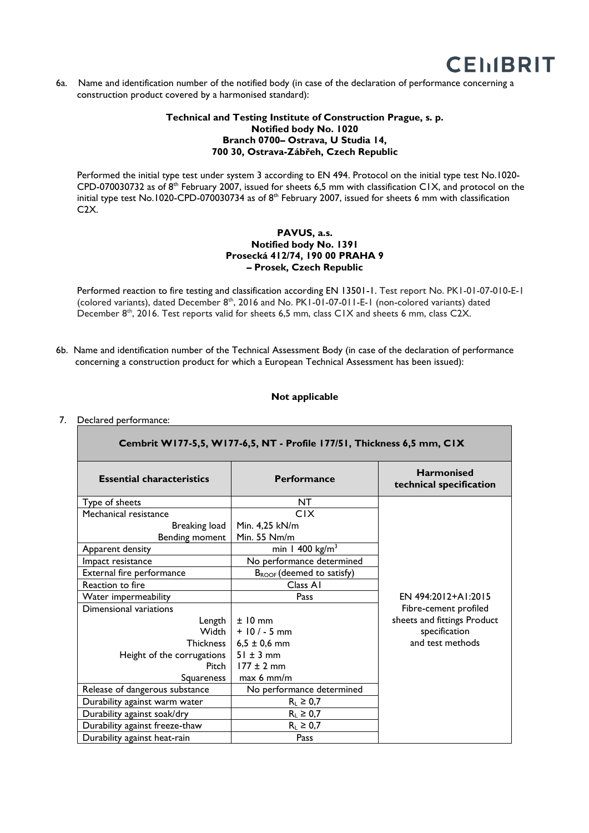

6a. Name and identification number of the notified body (in case of the declaration of performance concerning a construction product covered by a harmonised standard):

#### **Technical and Testing Institute of Construction Prague, s. p. Notified body No. 1020 Branch 0700– Ostrava, U Studia 14, 700 30, Ostrava-Zábřeh, Czech Republic**

Performed the initial type test under system 3 according to EN 494. Protocol on the initial type test No.1020- CPD-070030732 as of 8th February 2007, issued for sheets 6,5 mm with classification C1X, and protocol on the initial type test No.1020-CPD-070030734 as of 8<sup>th</sup> February 2007, issued for sheets 6 mm with classification C2X.

#### **PAVUS, a.s. Notified body No. 1391 Prosecká 412/74, 190 00 PRAHA 9 – Prosek, Czech Republic**

Performed reaction to fire testing and classification according EN 13501-1. Test report No. PK1-01-07-010-E-1 (colored variants), dated December 8<sup>th</sup>, 2016 and No. PK1-01-07-011-E-1 (non-colored variants) dated December 8<sup>th</sup>, 2016. Test reports valid for sheets 6,5 mm, class C1X and sheets 6 mm, class C2X.

6b. Name and identification number of the Technical Assessment Body (in case of the declaration of performance concerning a construction product for which a European Technical Assessment has been issued):

#### **Not applicable**

#### 7. Declared performance:

| Cembrit W177-5,5, W177-6,5, NT - Profile 177/51, Thickness 6,5 mm, CIX |                                       |                                              |
|------------------------------------------------------------------------|---------------------------------------|----------------------------------------------|
| <b>Essential characteristics</b>                                       | <b>Performance</b>                    | <b>Harmonised</b><br>technical specification |
| Type of sheets                                                         | NT.                                   |                                              |
| Mechanical resistance                                                  | <b>CIX</b>                            |                                              |
| Breaking load                                                          | Min. 4,25 kN/m                        |                                              |
| Bending moment                                                         | Min. 55 Nm/m                          |                                              |
| Apparent density                                                       | min 1 400 $kg/m3$                     |                                              |
| Impact resistance                                                      | No performance determined             |                                              |
| External fire performance                                              | B <sub>ROOF</sub> (deemed to satisfy) |                                              |
| Reaction to fire                                                       | Class A1                              |                                              |
| Water impermeability                                                   | Pass                                  | EN 494:2012+A1:2015                          |
| Dimensional variations                                                 |                                       | Fibre-cement profiled                        |
| Length                                                                 | $±10$ mm                              | sheets and fittings Product                  |
| Width I                                                                | $+10/ - 5$ mm                         | specification                                |
| Thickness                                                              | $6,5 \pm 0,6$ mm                      | and test methods                             |
| Height of the corrugations                                             | $51 \pm 3$ mm                         |                                              |
| Pitch                                                                  | $177 \pm 2$ mm                        |                                              |
| Squareness                                                             | max 6 mm/m                            |                                              |
| Release of dangerous substance                                         | No performance determined             |                                              |
| Durability against warm water                                          | $R_L \geq 0.7$                        |                                              |
| Durability against soak/dry                                            | $R_L \geq 0.7$                        |                                              |
| Durability against freeze-thaw                                         | $R_L \geq 0.7$                        |                                              |
| Durability against heat-rain                                           | Pass                                  |                                              |